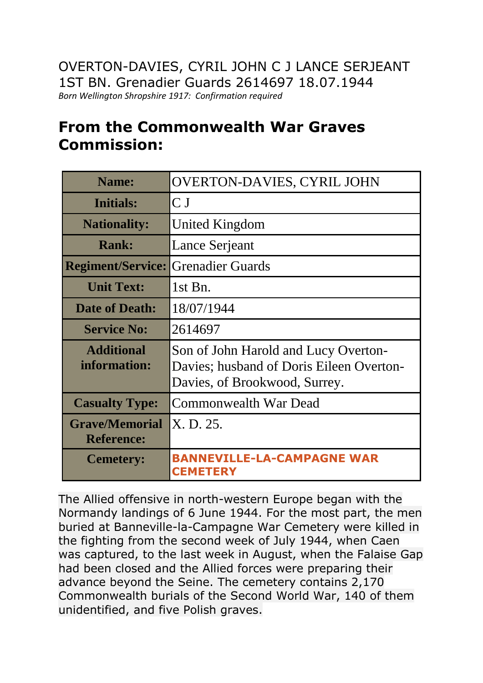## **From the Commonwealth War Graves Commission:**

| <b>Name:</b>                               | <b>OVERTON-DAVIES, CYRIL JOHN</b>                                                                                 |
|--------------------------------------------|-------------------------------------------------------------------------------------------------------------------|
| <b>Initials:</b>                           | C <sub>J</sub>                                                                                                    |
| <b>Nationality:</b>                        | United Kingdom                                                                                                    |
| <b>Rank:</b>                               | Lance Serjeant                                                                                                    |
| <b>Regiment/Service:</b>                   | <b>Grenadier Guards</b>                                                                                           |
| <b>Unit Text:</b>                          | $1st$ Bn.                                                                                                         |
| <b>Date of Death:</b>                      | 18/07/1944                                                                                                        |
| <b>Service No:</b>                         | 2614697                                                                                                           |
| <b>Additional</b><br>information:          | Son of John Harold and Lucy Overton-<br>Davies; husband of Doris Eileen Overton-<br>Davies, of Brookwood, Surrey. |
| <b>Casualty Type:</b>                      | <b>Commonwealth War Dead</b>                                                                                      |
| <b>Grave/Memorial</b><br><b>Reference:</b> | X.D. 25.                                                                                                          |
| <b>Cemetery:</b>                           | <b>NNEVILLE-LA-CAMPAGNE WAR</b><br><b>CEMETERY</b>                                                                |

The Allied offensive in north-western Europe began with the Normandy landings of 6 June 1944. For the most part, the men buried at Banneville-la-Campagne War Cemetery were killed in the fighting from the second week of July 1944, when Caen was captured, to the last week in August, when the Falaise Gap had been closed and the Allied forces were preparing their advance beyond the Seine. The cemetery contains 2,170 Commonwealth burials of the Second World War, 140 of them unidentified, and five Polish graves.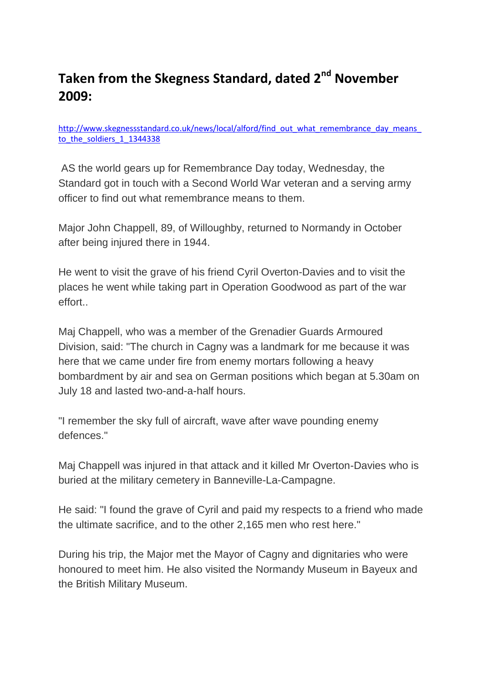## **Taken from the Skegness Standard, dated 2nd November 2009:**

[http://www.skegnessstandard.co.uk/news/local/alford/find\\_out\\_what\\_remembrance\\_day\\_means\\_](http://www.skegnessstandard.co.uk/news/local/alford/find_out_what_remembrance_day_means_to_the_soldiers_1_1344338) to the soldiers 1 1344338

AS the world gears up for Remembrance Day today, Wednesday, the Standard got in touch with a Second World War veteran and a serving army officer to find out what remembrance means to them.

Major John Chappell, 89, of Willoughby, returned to Normandy in October after being injured there in 1944.

He went to visit the grave of his friend Cyril Overton-Davies and to visit the places he went while taking part in Operation Goodwood as part of the war effort..

Maj Chappell, who was a member of the Grenadier Guards Armoured Division, said: "The church in Cagny was a landmark for me because it was here that we came under fire from enemy mortars following a heavy bombardment by air and sea on German positions which began at 5.30am on July 18 and lasted two-and-a-half hours.

"I remember the sky full of aircraft, wave after wave pounding enemy defences."

Maj Chappell was injured in that attack and it killed Mr Overton-Davies who is buried at the military cemetery in Banneville-La-Campagne.

He said: "I found the grave of Cyril and paid my respects to a friend who made the ultimate sacrifice, and to the other 2,165 men who rest here."

During his trip, the Major met the Mayor of Cagny and dignitaries who were honoured to meet him. He also visited the Normandy Museum in Bayeux and the British Military Museum.